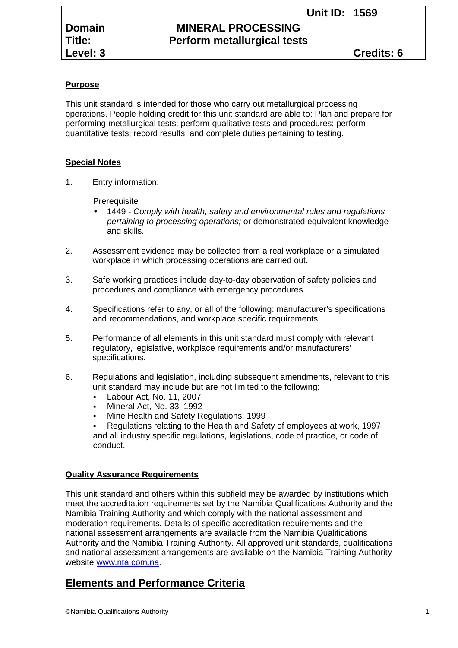| Domain   |
|----------|
| Title:   |
| Level: 3 |

# **MINERAL PROCESSING Perform metallurgical tests**

# **Purpose**

This unit standard is intended for those who carry out metallurgical processing operations. People holding credit for this unit standard are able to: Plan and prepare for performing metallurgical tests; perform qualitative tests and procedures; perform quantitative tests; record results; and complete duties pertaining to testing.

# **Special Notes**

1. Entry information:

**Prerequisite** 

- 1449 *- Comply with health, safety and environmental rules and regulations pertaining to processing operations;* or demonstrated equivalent knowledge and skills.
- 2. Assessment evidence may be collected from a real workplace or a simulated workplace in which processing operations are carried out.
- 3. Safe working practices include day-to-day observation of safety policies and procedures and compliance with emergency procedures.
- 4. Specifications refer to any, or all of the following: manufacturer's specifications and recommendations, and workplace specific requirements.
- 5. Performance of all elements in this unit standard must comply with relevant regulatory, legislative, workplace requirements and/or manufacturers' specifications.
- 6. Regulations and legislation, including subsequent amendments, relevant to this unit standard may include but are not limited to the following:
	- Labour Act, No. 11, 2007
	- Mineral Act, No. 33, 1992
	- Mine Health and Safety Regulations, 1999

 Regulations relating to the Health and Safety of employees at work, 1997 and all industry specific regulations, legislations, code of practice, or code of conduct.

# **Quality Assurance Requirements**

This unit standard and others within this subfield may be awarded by institutions which meet the accreditation requirements set by the Namibia Qualifications Authority and the Namibia Training Authority and which comply with the national assessment and moderation requirements. Details of specific accreditation requirements and the national assessment arrangements are available from the Namibia Qualifications Authority and the Namibia Training Authority. All approved unit standards, qualifications and national assessment arrangements are available on the Namibia Training Authority website www.nta.com.na.

# **Elements and Performance Criteria**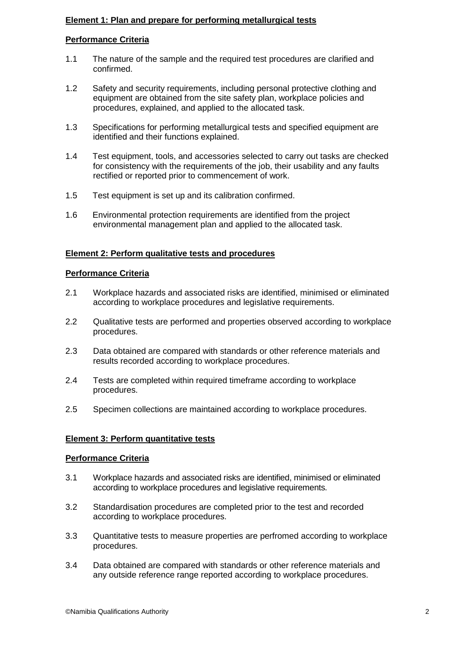# **Element 1: Plan and prepare for performing metallurgical tests**

# **Performance Criteria**

- 1.1 The nature of the sample and the required test procedures are clarified and confirmed.
- 1.2 Safety and security requirements, including personal protective clothing and equipment are obtained from the site safety plan, workplace policies and procedures, explained, and applied to the allocated task.
- 1.3 Specifications for performing metallurgical tests and specified equipment are identified and their functions explained.
- 1.4 Test equipment, tools, and accessories selected to carry out tasks are checked for consistency with the requirements of the job, their usability and any faults rectified or reported prior to commencement of work.
- 1.5 Test equipment is set up and its calibration confirmed.
- 1.6 Environmental protection requirements are identified from the project environmental management plan and applied to the allocated task.

### **Element 2: Perform qualitative tests and procedures**

# **Performance Criteria**

- 2.1 Workplace hazards and associated risks are identified, minimised or eliminated according to workplace procedures and legislative requirements.
- 2.2 Qualitative tests are performed and properties observed according to workplace procedures.
- 2.3 Data obtained are compared with standards or other reference materials and results recorded according to workplace procedures.
- 2.4 Tests are completed within required timeframe according to workplace procedures.
- 2.5 Specimen collections are maintained according to workplace procedures.

#### **Element 3: Perform quantitative tests**

#### **Performance Criteria**

- 3.1 Workplace hazards and associated risks are identified, minimised or eliminated according to workplace procedures and legislative requirements.
- 3.2 Standardisation procedures are completed prior to the test and recorded according to workplace procedures.
- 3.3 Quantitative tests to measure properties are perfromed according to workplace procedures.
- 3.4 Data obtained are compared with standards or other reference materials and any outside reference range reported according to workplace procedures.